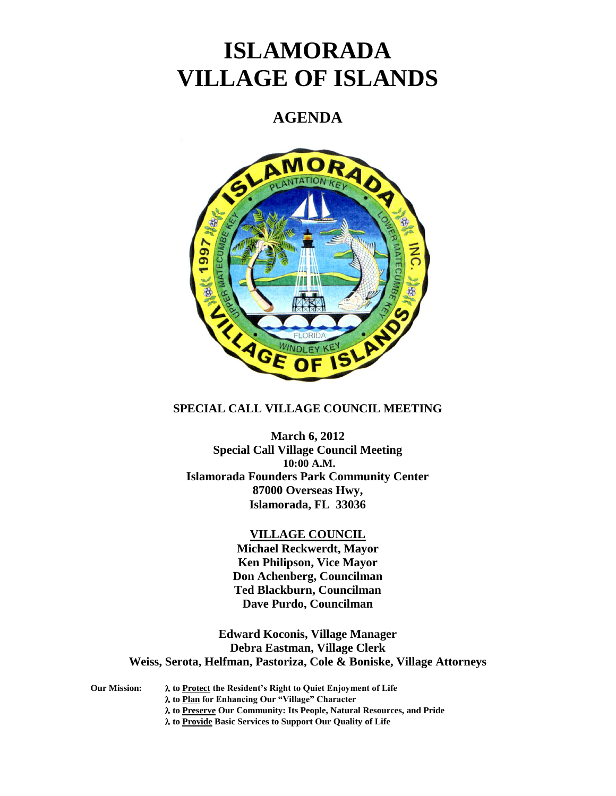# **ISLAMORADA VILLAGE OF ISLANDS**

## **AGENDA**



#### **SPECIAL CALL VILLAGE COUNCIL MEETING**

**March 6, 2012 Special Call Village Council Meeting 10:00 A.M. Islamorada Founders Park Community Center 87000 Overseas Hwy, Islamorada, FL 33036**

#### **VILLAGE COUNCIL**

**Michael Reckwerdt, Mayor Ken Philipson, Vice Mayor Don Achenberg, Councilman Ted Blackburn, Councilman Dave Purdo, Councilman**

**Edward Koconis, Village Manager Debra Eastman, Village Clerk Weiss, Serota, Helfman, Pastoriza, Cole & Boniske, Village Attorneys**

**Our Mission: to Protect the Resident's Right to Quiet Enjoyment of Life to Plan for Enhancing Our "Village" Character**

**to Preserve Our Community: Its People, Natural Resources, and Pride**

**to Provide Basic Services to Support Our Quality of Life**